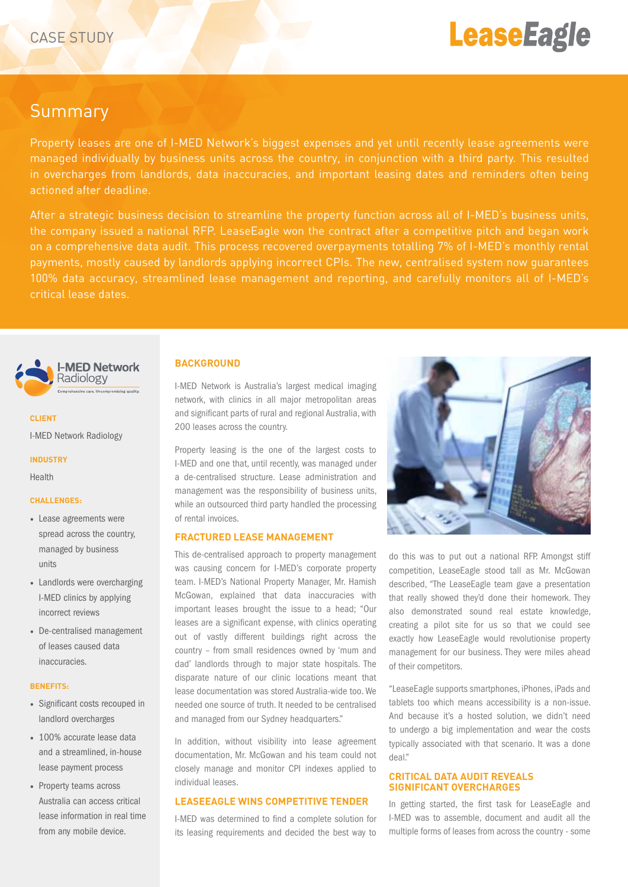# **LeaseEagle**

# Summary

Property leases are one of I-MED Network's biggest expenses and yet until recently lease agreements were managed individually by business units across the country, in conjunction with a third party. This resulted in overcharges from landlords, data inaccuracies, and important leasing dates and reminders often being actioned after deadline.

After a strategic business decision to streamline the property function across all of I-MED's business units, the company issued a national RFP. LeaseEagle won the contract after a competitive pitch and began work on a comprehensive data audit. This process recovered overpayments totalling 7% of I-MED's monthly rental payments, mostly caused by landlords applying incorrect CPIs. The new, centralised system now guarantees 100% data accuracy, streamlined lease management and reporting, and carefully monitors all of I-MED's critical lease dates.



### **CLIENT**

I-MED Network Radiology

#### **INDUSTRY**

Health

# **CHALLENGES:**

- Lease agreements were spread across the country, managed by business units
- Landlords were overcharging I-MED clinics by applying incorrect reviews
- De-centralised management of leases caused data inaccuracies.

#### **BENEFITS:**

- Significant costs recouped in landlord overcharges
- 100% accurate lease data and a streamlined, in-house lease payment process
- Property teams across Australia can access critical lease information in real time from any mobile device.

#### **BACKGROUND**

I-MED Network is Australia's largest medical imaging network, with clinics in all major metropolitan areas and significant parts of rural and regional Australia, with 200 leases across the country.

Property leasing is the one of the largest costs to I-MED and one that, until recently, was managed under a de-centralised structure. Lease administration and management was the responsibility of business units, while an outsourced third party handled the processing of rental invoices.

### **FRACTURED LEASE MANAGEMENT**

This de-centralised approach to property management was causing concern for I-MED's corporate property team. I-MED's National Property Manager, Mr. Hamish McGowan, explained that data inaccuracies with important leases brought the issue to a head; "Our leases are a significant expense, with clinics operating out of vastly different buildings right across the country – from small residences owned by 'mum and dad' landlords through to major state hospitals. The disparate nature of our clinic locations meant that lease documentation was stored Australia-wide too. We needed one source of truth. It needed to be centralised and managed from our Sydney headquarters."

In addition, without visibility into lease agreement documentation, Mr. McGowan and his team could not closely manage and monitor CPI indexes applied to individual leases.

# **LEASEEAGLE WINS COMPETITIVE TENDER**

I-MED was determined to find a complete solution for its leasing requirements and decided the best way to



do this was to put out a national RFP. Amongst stiff competition, LeaseEagle stood tall as Mr. McGowan described, "The LeaseEagle team gave a presentation that really showed they'd done their homework. They also demonstrated sound real estate knowledge, creating a pilot site for us so that we could see exactly how LeaseEagle would revolutionise property management for our business. They were miles ahead of their competitors.

"LeaseEagle supports smartphones, iPhones, iPads and tablets too which means accessibility is a non-issue. And because it's a hosted solution, we didn't need to undergo a big implementation and wear the costs typically associated with that scenario. It was a done deal."

#### **CRITICAL DATA AUDIT REVEALS SIGNIFICANT OVERCHARGES**

In getting started, the first task for LeaseEagle and I-MED was to assemble, document and audit all the multiple forms of leases from across the country - some